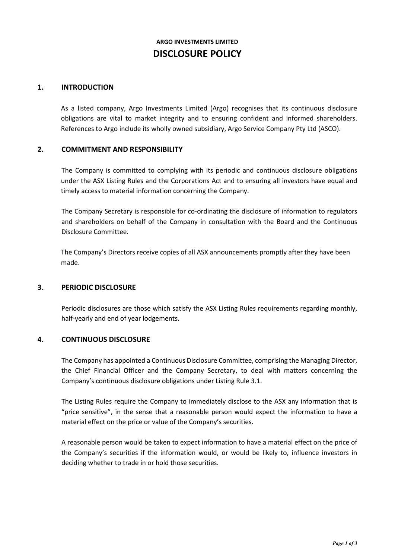# **ARGO INVESTMENTS LIMITED DISCLOSURE POLICY**

## **1. INTRODUCTION**

As a listed company, Argo Investments Limited (Argo) recognises that its continuous disclosure obligations are vital to market integrity and to ensuring confident and informed shareholders. References to Argo include its wholly owned subsidiary, Argo Service Company Pty Ltd (ASCO).

## **2. COMMITMENT AND RESPONSIBILITY**

The Company is committed to complying with its periodic and continuous disclosure obligations under the ASX Listing Rules and the Corporations Act and to ensuring all investors have equal and timely access to material information concerning the Company.

The Company Secretary is responsible for co-ordinating the disclosure of information to regulators and shareholders on behalf of the Company in consultation with the Board and the Continuous Disclosure Committee.

The Company's Directors receive copies of all ASX announcements promptly after they have been made.

## **3. PERIODIC DISCLOSURE**

Periodic disclosures are those which satisfy the ASX Listing Rules requirements regarding monthly, half-yearly and end of year lodgements.

# **4. CONTINUOUS DISCLOSURE**

The Company has appointed a Continuous Disclosure Committee, comprising the Managing Director, the Chief Financial Officer and the Company Secretary, to deal with matters concerning the Company's continuous disclosure obligations under Listing Rule 3.1.

The Listing Rules require the Company to immediately disclose to the ASX any information that is "price sensitive", in the sense that a reasonable person would expect the information to have a material effect on the price or value of the Company's securities.

A reasonable person would be taken to expect information to have a material effect on the price of the Company's securities if the information would, or would be likely to, influence investors in deciding whether to trade in or hold those securities.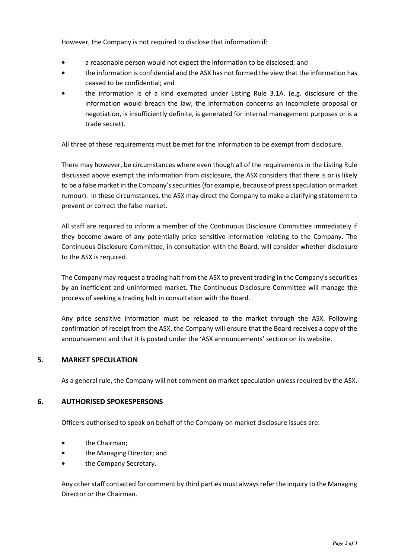However, the Company is not required to disclose that information if:

- **•** a reasonable person would not expect the information to be disclosed; and
- **•** the information is confidential and the ASX has not formed the view that the information has ceased to be confidential; and
- **•** the information is of a kind exempted under Listing Rule 3.1A. (e.g. disclosure of the information would breach the law, the information concerns an incomplete proposal or negotiation, is insufficiently definite, is generated for internal management purposes or is a trade secret).

All three of these requirements must be met for the information to be exempt from disclosure.

There may however, be circumstances where even though all of the requirements in the Listing Rule discussed above exempt the information from disclosure, the ASX considers that there is or is likely to be a false market in the Company's securities (for example, because of press speculation or market rumour). In these circumstances, the ASX may direct the Company to make a clarifying statement to prevent or correct the false market.

All staff are required to inform a member of the Continuous Disclosure Committee immediately if they become aware of any potentially price sensitive information relating to the Company. The Continuous Disclosure Committee, in consultation with the Board, will consider whether disclosure to the ASX is required.

The Company may request a trading halt from the ASX to prevent trading in the Company's securities by an inefficient and uninformed market. The Continuous Disclosure Committee will manage the process of seeking a trading halt in consultation with the Board.

Any price sensitive information must be released to the market through the ASX. Following confirmation of receipt from the ASX, the Company will ensure that the Board receives a copy of the announcement and that it is posted under the 'ASX announcements' section on its website.

# **5. MARKET SPECULATION**

As a general rule, the Company will not comment on market speculation unless required by the ASX.

# **6. AUTHORISED SPOKESPERSONS**

Officers authorised to speak on behalf of the Company on market disclosure issues are:

- **•** the Chairman;
- **•** the Managing Director; and
- **•** the Company Secretary.

Any other staff contacted for comment by third parties must always refer the inquiry to the Managing Director or the Chairman.